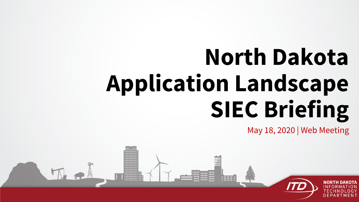# **North Dakota Application Landscape SIEC Briefing**

May 18, 2020 | Web Meeting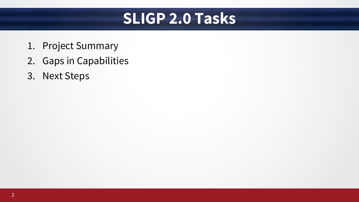#### **SLIGP 2.0 Tasks**

- 1. Project Summary
- 2. Gaps in Capabilities
- 3. Next Steps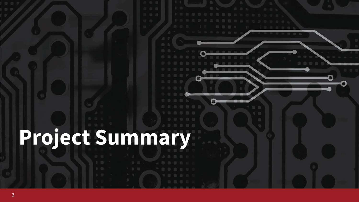# **Project Summary**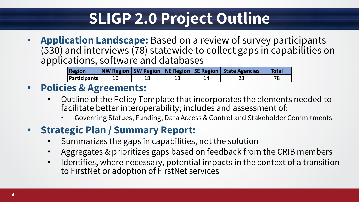### **SLIGP 2.0 Project Outline**

• **Application Landscape:** Based on a review of survey participants (530) and interviews (78) statewide to collect gaps in capabilities on applications, software and databases

| Region              |  |  | NW Region   SW Region   NE Region   SE Region   State Agencies | Total |
|---------------------|--|--|----------------------------------------------------------------|-------|
| <b>Participants</b> |  |  |                                                                |       |

#### • **Policies & Agreements:**

- Outline of the Policy Template that incorporates the elements needed to facilitate better interoperability; includes and assessment of:
	- Governing Statues, Funding, Data Access & Control and Stakeholder Commitments

#### • **Strategic Plan / Summary Report:**

- Summarizes the gaps in capabilities, not the solution
- Aggregates & prioritizes gaps based on feedback from the CRIB members
- Identifies, where necessary, potential impacts in the context of a transition to FirstNet or adoption of FirstNet services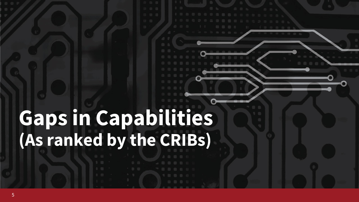## **Gaps in Capabilities (As ranked by the CRIBs)**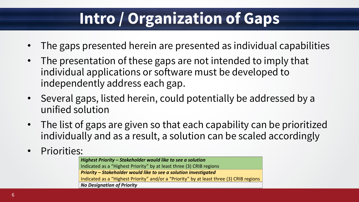### **Intro / Organization of Gaps**

- The gaps presented herein are presented as individual capabilities
- The presentation of these gaps are not intended to imply that individual applications or software must be developed to independently address each gap.
- Several gaps, listed herein, could potentially be addressed by a unified solution
- The list of gaps are given so that each capability can be prioritized individually and as a result, a solution can be scaled accordingly
- Priorities:

*Highest Priority – Stakeholder would like to see a solution* Indicated as a "Highest Priority" by at least three (3) CRIB regions *Priority – Stakeholder would like to see a solution investigated* Indicated as a "Highest Priority" and/or a "Priority" by at least three (3) CRIB regions *No Designation of Priority*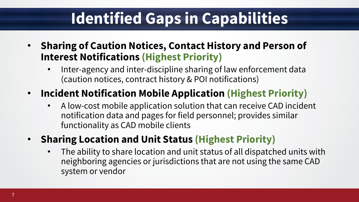### **Identified Gaps in Capabilities**

- **Sharing of Caution Notices, Contact History and Person of Interest Notifications (Highest Priority)** 
	- Inter-agency and inter-discipline sharing of law enforcement data (caution notices, contract history & POI notifications)

#### • **Incident Notification Mobile Application (Highest Priority)**

- A low-cost mobile application solution that can receive CAD incident notification data and pages for field personnel; provides similar functionality as CAD mobile clients
- **Sharing Location and Unit Status (Highest Priority)**
	- The ability to share location and unit status of all dispatched units with neighboring agencies or jurisdictions that are not using the same CAD system or vendor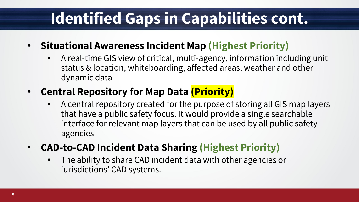### **Identified Gaps in Capabilities cont.**

- **Situational Awareness Incident Map (Highest Priority)**
	- A real-time GIS view of critical, multi-agency, information including unit status & location, whiteboarding, affected areas, weather and other dynamic data
- **Central Repository for Map Data (Priority)**
	- A central repository created for the purpose of storing all GIS map layers that have a public safety focus. It would provide a single searchable interface for relevant map layers that can be used by all public safety agencies
- **CAD-to-CAD Incident Data Sharing (Highest Priority)**
	- The ability to share CAD incident data with other agencies or jurisdictions' CAD systems.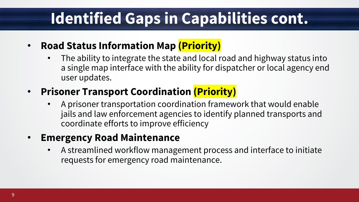### **Identified Gaps in Capabilities cont.**

- **Road Status Information Map (Priority)**
	- The ability to integrate the state and local road and highway status into a single map interface with the ability for dispatcher or local agency end user updates.

#### • **Prisoner Transport Coordination (Priority)**

• A prisoner transportation coordination framework that would enable jails and law enforcement agencies to identify planned transports and coordinate efforts to improve efficiency

#### • **Emergency Road Maintenance**

• A streamlined workflow management process and interface to initiate requests for emergency road maintenance.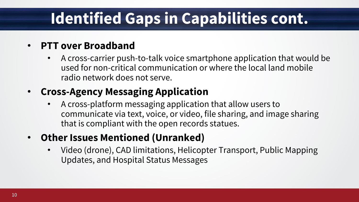### **Identified Gaps in Capabilities cont.**

#### • **PTT over Broadband**

• A cross-carrier push-to-talk voice smartphone application that would be used for non-critical communication or where the local land mobile radio network does not serve.

#### • **Cross-Agency Messaging Application**

• A cross-platform messaging application that allow users to communicate via text, voice, or video, file sharing, and image sharing that is compliant with the open records statues.

#### • **Other Issues Mentioned (Unranked)**

• Video (drone), CAD limitations, Helicopter Transport, Public Mapping Updates, and Hospital Status Messages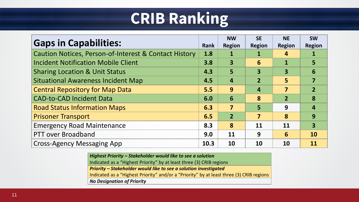### **CRIB Ranking**

| <b>Gaps in Capabilities:</b>                                     |     | <b>NW</b><br><b>Region</b> | <b>SE</b><br><b>Region</b> | <b>NE</b><br><b>Region</b> | <b>SW</b><br><b>Region</b> |
|------------------------------------------------------------------|-----|----------------------------|----------------------------|----------------------------|----------------------------|
| <b>Caution Notices, Person-of-Interest &amp; Contact History</b> | 1.8 | 1                          |                            | 4                          |                            |
| <b>Incident Notification Mobile Client</b>                       | 3.8 | $\overline{\mathbf{3}}$    | 6                          |                            |                            |
| <b>Sharing Location &amp; Unit Status</b>                        |     | 5                          | 3                          | 3                          | 6                          |
| <b>Situational Awareness Incident Map</b>                        |     | $\overline{4}$             | $\overline{2}$             | 5                          |                            |
| <b>Central Repository for Map Data</b>                           |     | 9                          | 4                          | 7                          | $\overline{2}$             |
| <b>CAD-to-CAD Incident Data</b>                                  |     | 6                          | 8                          | $\overline{2}$             | 8                          |
| <b>Road Status Information Maps</b>                              |     | 7                          | 5                          | 9                          | 4                          |
| <b>Prisoner Transport</b>                                        |     | $\overline{2}$             | 7                          | 8                          | 9                          |
| <b>Emergency Road Maintenance</b>                                |     | 8                          | 11                         | 11                         | 3                          |
| <b>PTT over Broadband</b>                                        |     | 11                         | 9                          | 6                          | 10                         |
| <b>Cross-Agency Messaging App</b>                                |     | 10                         | <b>10</b>                  | 10                         | 11                         |

*Highest Priority – Stakeholder would like to see a solution* Indicated as a "Highest Priority" by at least three (3) CRIB regions *Priority – Stakeholder would like to see a solution investigated* Indicated as a "Highest Priority" and/or a "Priority" by at least three (3) CRIB regions *No Designation of Priority*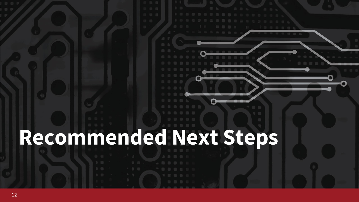## **Recommended Next Steps**